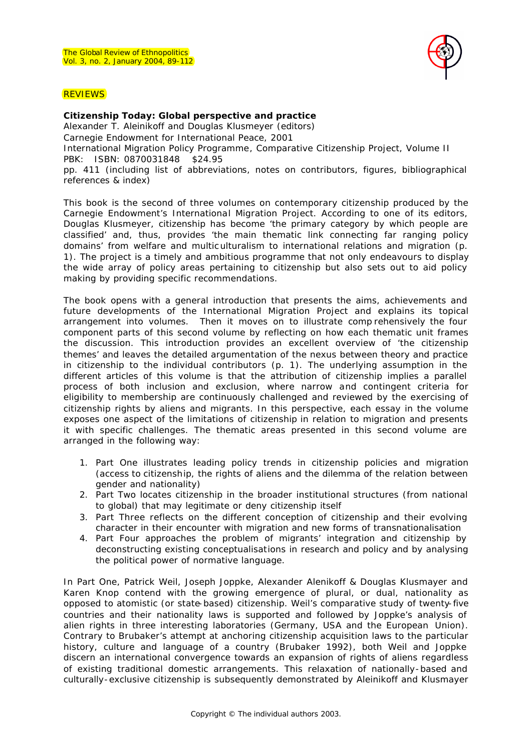

## **REVIEWS**

## **Citizenship Today: Global perspective and practice**

Alexander T. Aleinikoff and Douglas Klusmeyer (editors)

Carnegie Endowment for International Peace, 2001

International Migration Policy Programme, Comparative Citizenship Project, Volume II PBK: ISBN: 0870031848 \$24.95

pp. 411 (including list of abbreviations, notes on contributors, figures, bibliographical references & index)

This book is the second of three volumes on contemporary citizenship produced by the Carnegie Endowment's International Migration Project. According to one of its editors, Douglas Klusmeyer, citizenship has become 'the primary category by which people are classified' and, thus, provides 'the main thematic link connecting far ranging policy domains' from welfare and multic ulturalism to international relations and migration (p. 1). The project is a timely and ambitious programme that not only endeavours to display the wide array of policy areas pertaining to citizenship but also sets out to aid policy making by providing specific recommendations.

The book opens with a general introduction that presents the aims, achievements and future developments of the International Migration Project and explains its topical arrangement into volumes. Then it moves on to illustrate comp rehensively the four component parts of this second volume by reflecting on how each thematic unit frames the discussion. This introduction provides an excellent overview of 'the citizenship themes' and leaves the detailed argumentation of the nexus between theory and practice in citizenship to the individual contributors (p. 1). The underlying assumption in the different articles of this volume is that the attribution of citizenship implies a parallel process of both inclusion and exclusion, where narrow and contingent criteria for eligibility to membership are continuously challenged and reviewed by the exercising of citizenship rights by aliens and migrants. In this perspective, each essay in the volume exposes one aspect of the limitations of citizenship in relation to migration and presents it with specific challenges. The thematic areas presented in this second volume are arranged in the following way:

- 1. Part One illustrates leading policy trends in citizenship policies and migration (access to citizenship, the rights of aliens and the dilemma of the relation between gender and nationality)
- 2. Part Two locates citizenship in the broader institutional structures (from national to global) that may legitimate or deny citizenship itself
- 3. Part Three reflects on the different conception of citizenship and their evolving character in their encounter with migration and new forms of transnationalisation
- 4. Part Four approaches the problem of migrants' integration and citizenship by deconstructing existing conceptualisations in research and policy and by analysing the political power of normative language.

In Part One, Patrick Weil, Joseph Joppke, Alexander Alenikoff & Douglas Klusmayer and Karen Knop contend with the growing emergence of plural, or dual, nationality as opposed to atomistic (or state-based) citizenship. Weil's comparative study of twenty-five countries and their nationality laws is supported and followed by Joppke's analysis of alien rights in three interesting laboratories (Germany, USA and the European Union). Contrary to Brubaker's attempt at anchoring citizenship acquisition laws to the particular history, culture and language of a country (Brubaker 1992), both Weil and Joppke discern an international convergence towards an expansion of rights of aliens regardless of existing traditional domestic arrangements. This relaxation of nationally-based and culturally-exclusive citizenship is subsequently demonstrated by Aleinikoff and Klusmayer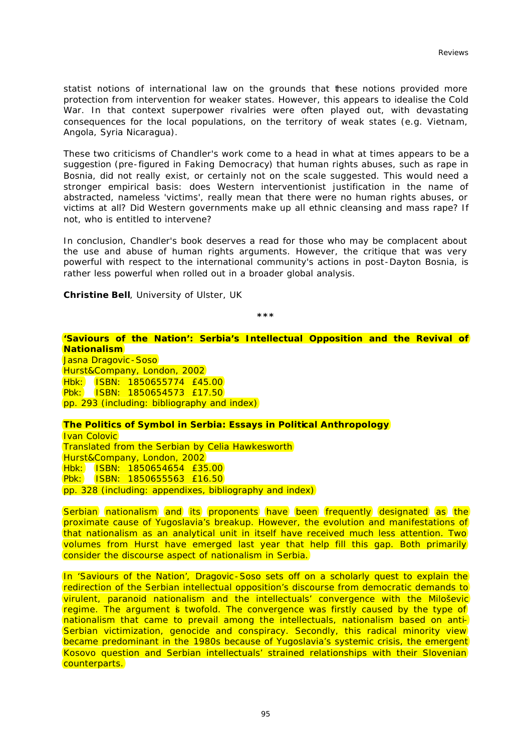statist notions of international law on the grounds that these notions provided more protection from intervention for weaker states. However, this appears to idealise the Cold War. In that context superpower rivalries were often played out, with devastating consequences for the local populations, on the territory of weak states (e.g. Vietnam, Angola, Syria Nicaragua).

These two criticisms of Chandler's work come to a head in what at times appears to be a suggestion (pre-figured in *Faking Democracy*) that human rights abuses, such as rape in Bosnia, did not really exist, or certainly not on the scale suggested. This would need a stronger empirical basis: does Western interventionist justification in the name of abstracted, nameless 'victims', really mean that there were no human rights abuses, or victims at all? Did Western governments make up all ethnic cleansing and mass rape? If not, who is entitled to intervene?

In conclusion, Chandler's book deserves a read for those who may be complacent about the use and abuse of human rights arguments. However, the critique that was very powerful with respect to the international community's actions in post-Dayton Bosnia, is rather less powerful when rolled out in a broader global analysis.

**Christine Bell**, University of Ulster, UK

**\*\*\***

**'Saviours of the Nation': Serbia's Intellectual Opposition and the Revival of Nationalism** Jasna Dragovic - Soso Hurst&Company, London, 2002 Hbk: ISBN: 1850655774 £45.00 Pbk: ISBN: 1850654573 £17.50 pp. 293 (including: bibliography and index)

**The Politics of Symbol in Serbia: Essays in Political Anthropology** 

Ivan Colovic Translated from the Serbian by Celia Hawkesworth Hurst&Company, London, 2002 Hbk: ISBN: 1850654654 £35.00 Pbk: ISBN: 1850655563 £16.50 pp. 328 (including: appendixes, bibliography and index)

Serbian nationalism and its proponents have been frequently designated as the proximate cause of Yugoslavia's breakup. However, the evolution and manifestations of that nationalism as an analytical unit in itself have received much less attention. Two volumes from Hurst have emerged last year that help fill this gap. Both primarily consider the discourse aspect of nationalism in Serbia.

In *'Saviours of the Nation'*, Dragovic -Soso sets off on a scholarly quest to explain the redirection of the Serbian intellectual opposition's discourse from democratic demands to virulent, paranoid nationalism and the intellectuals' convergence with the Miloševic regime. The argument is twofold. The convergence was firstly caused by the type of nationalism that came to prevail among the intellectuals, nationalism based on anti-Serbian victimization, genocide and conspiracy. Secondly, this radical minority view became predominant in the 1980s because of Yugoslavia's systemic crisis, the emergent Kosovo question and Serbian intellectuals' strained relationships with their Slovenian counterparts.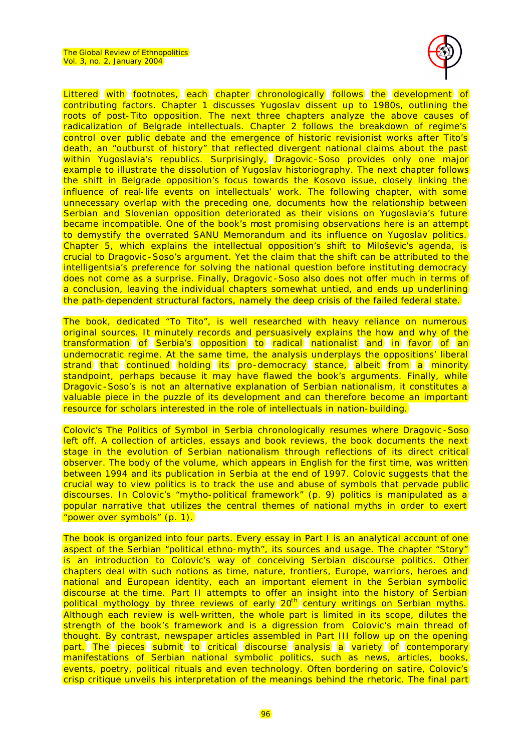

Littered with footnotes, each chapter chronologically follows the development of contributing factors. Chapter 1 discusses Yugoslav dissent up to 1980s, outlining the roots of post-Tito opposition. The next three chapters analyze the above causes of radicalization of Belgrade intellectuals. Chapter 2 follows the breakdown of regime's control over public debate and the emergence of historic revisionist works after Tito's death, an "outburst of history" that reflected divergent national claims about the past within Yugoslavia's republics. Surprisingly, Dragovic -Soso provides only one major example to illustrate the dissolution of Yugoslav historiography. The next chapter follows the shift in Belgrade opposition's focus towards the Kosovo issue, closely linking the influence of real-life events on intellectuals' work. The following chapter, with some unnecessary overlap with the preceding one, documents how the relationship between Serbian and Slovenian opposition deteriorated as their visions on Yugoslavia's future became incompatible. One of the book's most promising observations here is an attempt to demystify the overrated SANU Memorandum and its influence on Yugoslav politics. Chapter 5, which explains the intellectual opposition's shift to Miloševic's agenda, is crucial to Dragovic -Soso's argument. Yet the claim that the shift can be attributed to the intelligentsia's preference for solving the national question before instituting democracy does not come as a surprise. Finally, Dragovic - Soso also does not offer much in terms of a conclusion, leaving the individual chapters somewhat untied, and ends up underlining the path-dependent structural factors, namely the deep crisis of the failed federal state.

The book, dedicated "To Tito", is well researched with heavy reliance on numerous original sources. It minutely records and persuasively explains the how and why of the transformation of Serbia's opposition to radical nationalist and in favor of an undemocratic regime. At the same time, the analysis underplays the oppositions' liberal strand that continued holding its pro-democracy stance, albeit from a minority standpoint, perhaps because it may have flawed the book's arguments. Finally, while Dragovic - Soso's is not an alternative explanation of Serbian nationalism, it constitutes a valuable piece in the puzzle of its development and can therefore become an important resource for scholars interested in the role of intellectuals in nation-building.

Colovic's *The Politics of Symbol in Serbia* chronologically resumes where Dragovic -Soso left off. A collection of articles, essays and book reviews, the book documents the next stage in the evolution of Serbian nationalism through reflections of its direct critical observer. The body of the volume, which appears in English for the first time, was written between 1994 and its publication in Serbia at the end of 1997. Colovic suggests that the crucial way to view politics is to track the use and abuse of symbols that pervade public discourses. In Colovic's "mytho-political framework" (p. 9) politics is manipulated as a popular narrative that utilizes the central themes of national myths in order to exert "power over symbols" (p. 1).

The book is organized into four parts. Every essay in Part I is an analytical account of one aspect of the Serbian "political ethno-myth", its sources and usage. The chapter "Story" is an introduction to Colovic's way of conceiving Serbian discourse politics. Other chapters deal with such notions as time, nature, frontiers, Europe, warriors, heroes and national and European identity, each an important element in the Serbian symbolic discourse at the time. Part II attempts to offer an insight into the history of Serbian political mythology by three reviews of early 20<sup>th</sup> century writings on Serbian myths. Although each review is well-written, the whole part is limited in its scope, dilutes the strength of the book's framework and is a digression from Colovic's main thread of thought. By contrast, newspaper articles assembled in Part III follow up on the opening part. The pieces submit to critical discourse analysis a variety of contemporary manifestations of Serbian national symbolic politics, such as news, articles, books, events, poetry, political rituals and even technology. Often bordering on satire, Colovic's crisp critique unveils his interpretation of the meanings behind the rhetoric. The final part